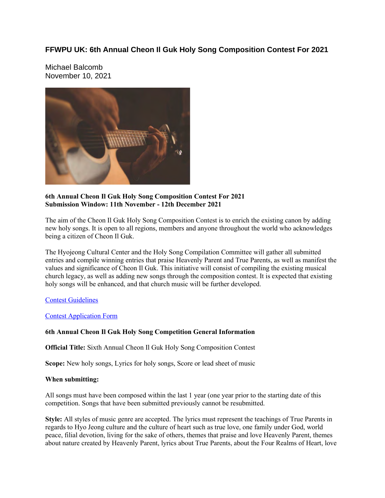#### **FFWPU UK: 6th Annual Cheon Il Guk Holy Song Composition Contest For 2021**

Michael Balcomb November 10, 2021



#### **6th Annual Cheon Il Guk Holy Song Composition Contest For 2021 Submission Window: 11th November - 12th December 2021**

The aim of the Cheon Il Guk Holy Song Composition Contest is to enrich the existing canon by adding new holy songs. It is open to all regions, members and anyone throughout the world who acknowledges being a citizen of Cheon Il Guk.

The Hyojeong Cultural Center and the Holy Song Compilation Committee will gather all submitted entries and compile winning entries that praise Heavenly Parent and True Parents, as well as manifest the values and significance of Cheon Il Guk. This initiative will consist of compiling the existing musical church legacy, as well as adding new songs through the composition contest. It is expected that existing holy songs will be enhanced, and that church music will be further developed.

#### Contest Guidelines

#### Contest Application Form

#### **6th Annual Cheon Il Guk Holy Song Competition General Information**

**Official Title:** Sixth Annual Cheon Il Guk Holy Song Composition Contest

**Scope:** New holy songs, Lyrics for holy songs, Score or lead sheet of music

#### **When submitting:**

All songs must have been composed within the last 1 year (one year prior to the starting date of this competition. Songs that have been submitted previously cannot be resubmitted.

**Style:** All styles of music genre are accepted. The lyrics must represent the teachings of True Parents in regards to Hyo Jeong culture and the culture of heart such as true love, one family under God, world peace, filial devotion, living for the sake of others, themes that praise and love Heavenly Parent, themes about nature created by Heavenly Parent, lyrics about True Parents, about the Four Realms of Heart, love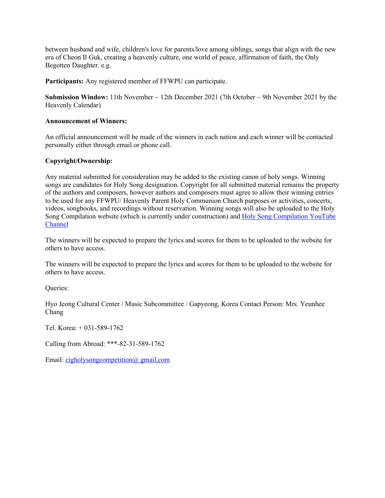between husband and wife, children's love for parents/love among siblings, songs that align with the new era of Cheon Il Guk, creating a heavenly culture, one world of peace, affirmation of faith, the Only Begotten Daughter. e.g.

**Participants:** Any registered member of FFWPU can participate.

**Submission Window:** 11th November ~ 12th December 2021 (7th October ~ 9th November 2021 by the Heavenly Calendar)

#### **Announcement of Winners:**

An official announcement will be made of the winners in each nation and each winner will be contacted personally either through email or phone call.

#### **Copyright/Ownership:**

Any material submitted for consideration may be added to the existing canon of holy songs. Winning songs are candidates for Holy Song designation. Copyright for all submitted material remains the property of the authors and composers, however authors and composers must agree to allow their winning entries to be used for any FFWPU/ Heavenly Parent Holy Communion Church purposes or activities, concerts, videos, songbooks, and recordings without reservation. Winning songs will also be uploaded to the Holy Song Compilation website (which is currently under construction) and Holy Song Compilation YouTube **Channel** 

The winners will be expected to prepare the lyrics and scores for them to be uploaded to the website for others to have access.

The winners will be expected to prepare the lyrics and scores for them to be uploaded to the website for others to have access.

Queries:

Hyo Jeong Cultural Center / Music Subcommittee / Gapyeong, Korea Contact Person: Mrs. Yeunhee Chang

Tel. Korea: + 031-589-1762

Calling from Abroad: \*\*\*-82-31-589-1762

Email: cigholysongcompetition@ gmail,com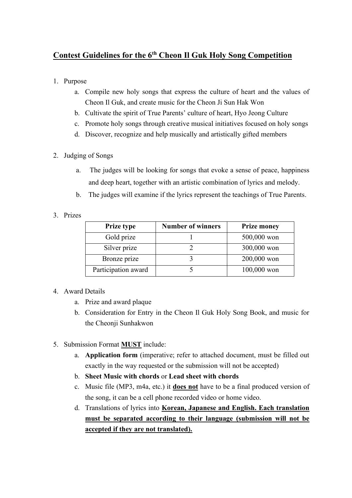## **Contest Guidelines for the 6th Cheon Il Guk Holy Song Competition**

- 1. Purpose
	- a. Compile new holy songs that express the culture of heart and the values of Cheon Il Guk, and create music for the Cheon Ji Sun Hak Won
	- b. Cultivate the spirit of True Parents' culture of heart, Hyo Jeong Culture
	- c. Promote holy songs through creative musical initiatives focused on holy songs
	- d. Discover, recognize and help musically and artistically gifted members
- 2. Judging of Songs
	- a. The judges will be looking for songs that evoke a sense of peace, happiness and deep heart, together with an artistic combination of lyrics and melody.
	- b. The judges will examine if the lyrics represent the teachings of True Parents.
- 3. Prizes

| <b>Prize type</b>   | <b>Number of winners</b> | <b>Prize money</b> |
|---------------------|--------------------------|--------------------|
| Gold prize          |                          | 500,000 won        |
| Silver prize        |                          | 300,000 won        |
| Bronze prize        |                          | 200,000 won        |
| Participation award |                          | 100,000 won        |

### 4. Award Details

- a. Prize and award plaque
- b. Consideration for Entry in the Cheon Il Guk Holy Song Book, and music for the Cheonji Sunhakwon
- 5. Submission Format **MUST** include:
	- a. **Application form** (imperative; refer to attached document, must be filled out exactly in the way requested or the submission will not be accepted)
	- b. **Sheet Music with chords** or **Lead sheet with chords**
	- c. Music file (MP3, m4a, etc.) it **does not** have to be a final produced version of the song, it can be a cell phone recorded video or home video.
	- d. Translations of lyrics into **Korean, Japanese and English. Each translation must be separated according to their language (submission will not be accepted if they are not translated).**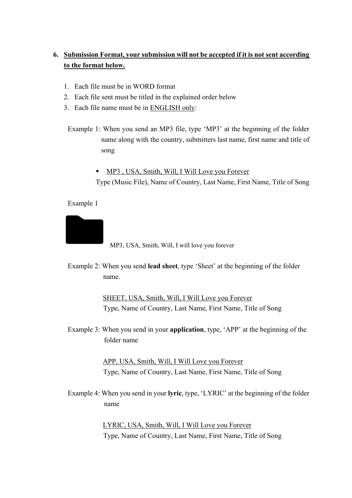## **6. Submission Format, your submission will not be accepted if it is not sent according to the format below.**

- 1. Each file must be in WORD format
- 2. Each file sent must be titled in the explained order below
- 3. Each file name must be in ENGLISH only:
	- Example 1: When you send an MP3 file, type 'MP3' at the beginning of the folder name along with the country, submitters last name, first name and title of song
		- MP3, USA, Smith, Will, I Will Love you Forever Type (Music File), Name of Country, Last Name, First Name, Title of Song

#### Example 1



MP3, USA, Smith, Will, I will love you forever

Example 2: When you send **lead sheet**, type 'Sheet' at the beginning of the folder name.

> SHEET, USA, Smith, Will, I Will Love you Forever Type, Name of Country, Last Name, First Name, Title of Song

Example 3: When you send in your **application**, type, 'APP' at the beginning of the folder name

> APP, USA, Smith, Will, I Will Love you Forever Type, Name of Country, Last Name, First Name, Title of Song

Example 4: When you send in your **lyric**, type, 'LYRIC' at the beginning of the folder name

> LYRIC, USA, Smith, Will, I Will Love you Forever Type, Name of Country, Last Name, First Name, Title of Song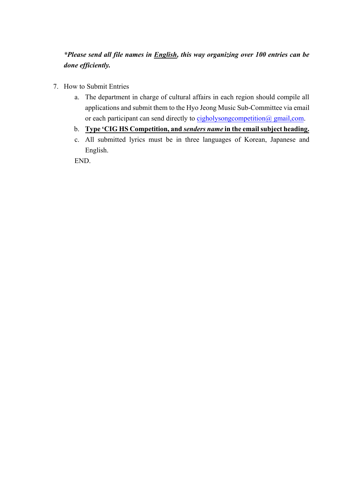*\*Please send all file names in English, this way organizing over 100 entries can be done efficiently.*

- 7. How to Submit Entries
	- a. The department in charge of cultural affairs in each region should compile all applications and submit them to the Hyo Jeong Music Sub-Committee via email or each participant can send directly to cigholysongcompetition@ gmail,com.
	- b. **Type 'CIG HS Competition, and** *senders name* **in the email subject heading.**
	- c. All submitted lyrics must be in three languages of Korean, Japanese and English.

END.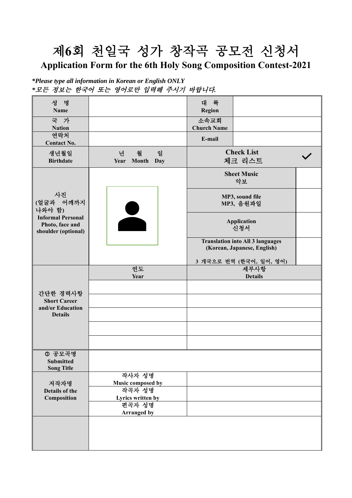# 제**6**회 천일국 성가 창작곡 공모전 신청서

## **Application Form for the 6th Holy Song Composition Contest-2021**

*<sup>\*</sup>Please type all information in Korean or English ONLY \**모든 정보는 한국어 또는 영어로만 입력해 주시기 바랍니다*.* 

| 성 명<br><b>Name</b>                                                                              |                                        | 대 륙<br>Region                |                                                                        |
|-------------------------------------------------------------------------------------------------|----------------------------------------|------------------------------|------------------------------------------------------------------------|
| 국 가<br><b>Nation</b>                                                                            |                                        | 소속교회<br><b>Church Name</b>   |                                                                        |
| 연락처<br><b>Contact No.</b>                                                                       |                                        | E-mail                       |                                                                        |
| 생년월일<br><b>Birthdate</b>                                                                        | 월<br>일<br>년<br>Year Month<br>Day       | <b>Check List</b><br>체크 리스트  |                                                                        |
| 사진<br>(얼굴과 어깨까지<br>나와야 함)<br><b>Informal Personal</b><br>Photo, face and<br>shoulder (optional) |                                        | <b>Sheet Music</b><br>악보     |                                                                        |
|                                                                                                 |                                        | MP3, sound file<br>MP3, 음원파일 |                                                                        |
|                                                                                                 |                                        | <b>Application</b><br>신청서    |                                                                        |
|                                                                                                 |                                        |                              | <b>Translation into All 3 languages</b><br>(Korean, Japanese, English) |
|                                                                                                 | 연도                                     |                              | 3 개국으로 번역 (한국어, 일어, 영어)<br>세부사항                                        |
|                                                                                                 | Year                                   |                              | <b>Details</b>                                                         |
|                                                                                                 |                                        |                              |                                                                        |
| 간단한 경력사항                                                                                        |                                        |                              |                                                                        |
| <b>Short Career</b><br>and/or Education                                                         |                                        |                              |                                                                        |
| <b>Details</b>                                                                                  |                                        |                              |                                                                        |
|                                                                                                 |                                        |                              |                                                                        |
|                                                                                                 |                                        |                              |                                                                        |
|                                                                                                 |                                        |                              |                                                                        |
| <b>0 공모곡명</b><br>Submitted<br><b>Song Title</b>                                                 |                                        |                              |                                                                        |
|                                                                                                 | 작사자 성명                                 |                              |                                                                        |
| 저작자명<br>Details of the                                                                          | Music composed by<br><del>작곡자</del> 성명 |                              |                                                                        |
| Composition                                                                                     | Lyrics written by                      |                              |                                                                        |
|                                                                                                 | 편곡자 성명                                 |                              |                                                                        |
|                                                                                                 | Arranged by                            |                              |                                                                        |
|                                                                                                 |                                        |                              |                                                                        |
|                                                                                                 |                                        |                              |                                                                        |
|                                                                                                 |                                        |                              |                                                                        |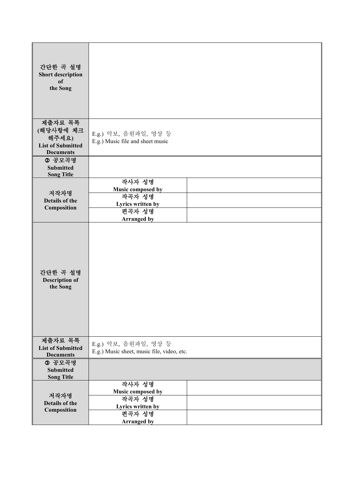| 간단한 곡 설명<br><b>Short description</b><br><sub>of</sub><br>the Song             |                                                                                            |  |
|-------------------------------------------------------------------------------|--------------------------------------------------------------------------------------------|--|
| 제출자료 목록<br>(해당사항에 체크<br>해주세요)<br><b>List of Submitted</b><br><b>Documents</b> | E.g.) 악보, 음원파일, 영상 등<br>E.g.) Music file and sheet music                                   |  |
| 2 공모곡명<br><b>Submitted</b><br><b>Song Title</b>                               |                                                                                            |  |
| 저작자명<br>Details of the<br>Composition                                         | 작사자 성명<br>Music composed by<br>작곡자 성명<br>Lyrics written by<br>편곡자 성명<br><b>Arranged by</b> |  |
| 간단한 곡 설명<br><b>Description of</b><br>the Song                                 |                                                                                            |  |
| 제출자료 목록<br><b>List of Submitted</b><br><b>Documents</b>                       | E.g.) 악보, 음원파일, 영상 등<br>E.g.) Music sheet, music file, video, etc.                         |  |
| 3 공모곡명<br><b>Submitted</b><br><b>Song Title</b>                               |                                                                                            |  |
| 저작자명<br>Details of the<br>Composition                                         | 작사자 성명<br>Music composed by<br>작곡자 성명<br>Lyrics written by<br>편곡자 성명<br><b>Arranged by</b> |  |